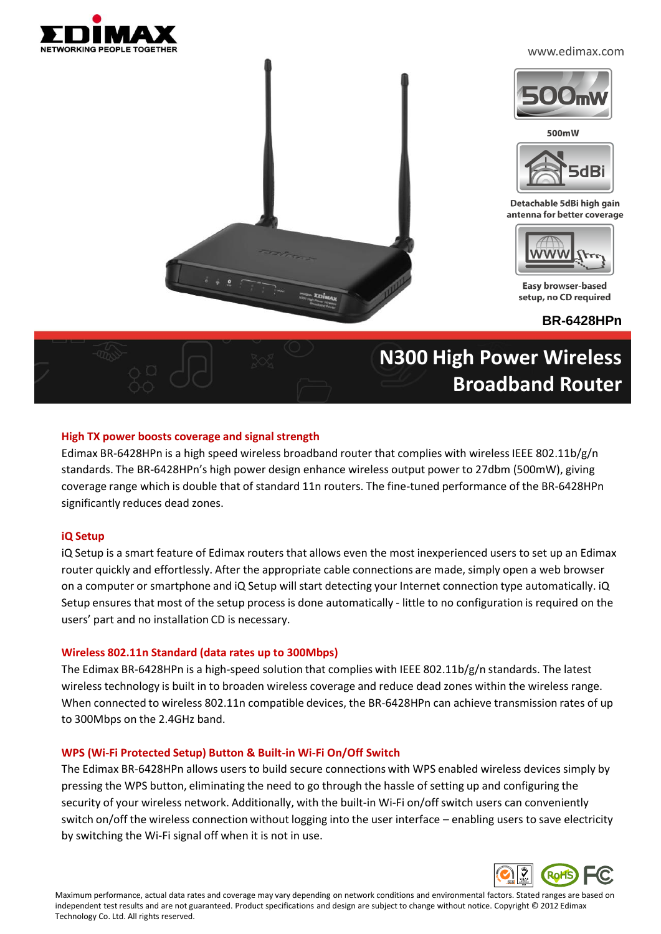

#### www.edimax.com



500mW



Detachable 5dBi high gain antenna for better coverage



Easy browser-based setup, no CD required

**BR-6428HPn**

# **N300 High Power Wireless Broadband Router**

### **High TX power boosts coverage and signal strength**

Edimax BR-6428HPn is a high speed wireless broadband router that complies with wireless IEEE 802.11b/g/n standards. The BR-6428HPn's high power design enhance wireless output power to 27dbm (500mW), giving coverage range which is double that of standard 11n routers. The fine-tuned performance of the BR-6428HPn significantly reduces dead zones.

### **iQ Setup**

iQ Setup is a smart feature of Edimax routers that allows even the most inexperienced users to set up an Edimax router quickly and effortlessly. After the appropriate cable connections are made, simply open a web browser on a computer or smartphone and iQ Setup will start detecting your Internet connection type automatically. iQ Setup ensures that most of the setup process is done automatically - little to no configuration is required on the users' part and no installation CD is necessary.

### **Wireless 802.11n Standard (data rates up to 300Mbps)**

The Edimax BR-6428HPn is a high-speed solution that complies with IEEE 802.11b/g/n standards. The latest wireless technology is built in to broaden wireless coverage and reduce dead zones within the wireless range. When connected to wireless 802.11n compatible devices, the BR-6428HPn can achieve transmission rates of up to 300Mbps on the 2.4GHz band.

#### **WPS (Wi-Fi Protected Setup) Button & Built-in Wi-Fi On/Off Switch**

The Edimax BR-6428HPn allows users to build secure connections with WPS enabled wireless devices simply by pressing the WPS button, eliminating the need to go through the hassle of setting up and configuring the security of your wireless network. Additionally, with the built-in Wi-Fi on/off switch users can conveniently switch on/off the wireless connection without logging into the user interface – enabling users to save electricity by switching the Wi-Fi signal off when it is not in use.



Maximum performance, actual data rates and coverage may vary depending on network conditions and environmental factors. Stated ranges are based on independent test results and are not guaranteed. Product specifications and design are subject to change without notice. Copyright © 2012 Edimax Technology Co. Ltd. All rights reserved.